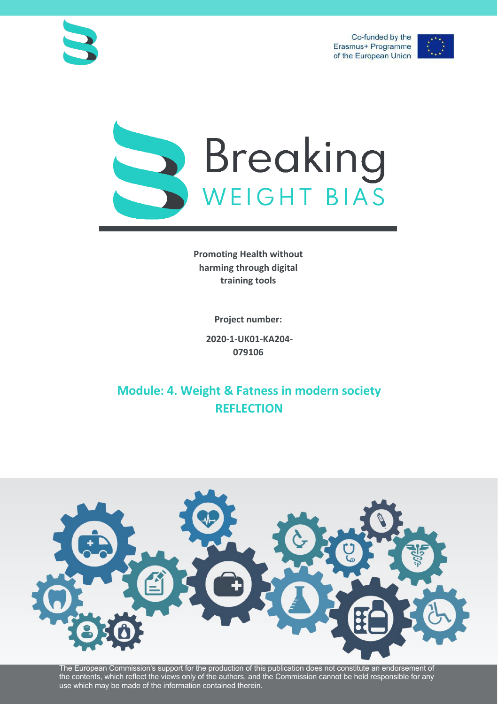Co-funded by the Erasmus+ Programme of the European Union







**Promoting Health without harming through digital training tools**

**Project number:**

**2020-1-UK01-KA204- 079106**

## **Module: 4. Weight & Fatness in modern society REFLECTION**



The European Commission's support for the production of this publication does not constitute an endorsement of the contents, which reflect the views only of the authors, and the Commission cannot be held responsible for any use which may be made of the information contained therein.